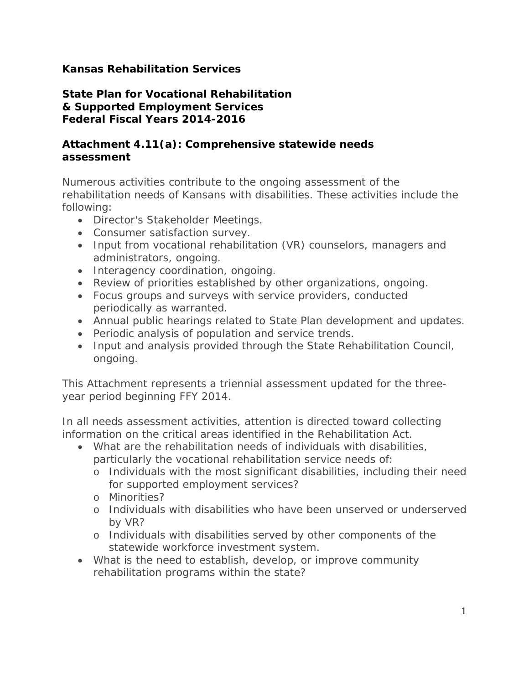## **Kansas Rehabilitation Services**

**State Plan for Vocational Rehabilitation & Supported Employment Services Federal Fiscal Years 2014-2016**

## **Attachment 4.11(a): Comprehensive statewide needs assessment**

Numerous activities contribute to the ongoing assessment of the rehabilitation needs of Kansans with disabilities. These activities include the following:

- Director's Stakeholder Meetings.
- Consumer satisfaction survey.
- Input from vocational rehabilitation (VR) counselors, managers and administrators, ongoing.
- Interagency coordination, ongoing.
- Review of priorities established by other organizations, ongoing.
- Focus groups and surveys with service providers, conducted periodically as warranted.
- Annual public hearings related to State Plan development and updates.
- Periodic analysis of population and service trends.
- Input and analysis provided through the State Rehabilitation Council, ongoing.

This Attachment represents a triennial assessment updated for the threeyear period beginning FFY 2014.

In all needs assessment activities, attention is directed toward collecting information on the critical areas identified in the Rehabilitation Act.

- What are the rehabilitation needs of individuals with disabilities, particularly the vocational rehabilitation service needs of:
	- o Individuals with the most significant disabilities, including their need for supported employment services?
	- o Minorities?
	- o Individuals with disabilities who have been unserved or underserved by VR?
	- o Individuals with disabilities served by other components of the statewide workforce investment system.
- What is the need to establish, develop, or improve community rehabilitation programs within the state?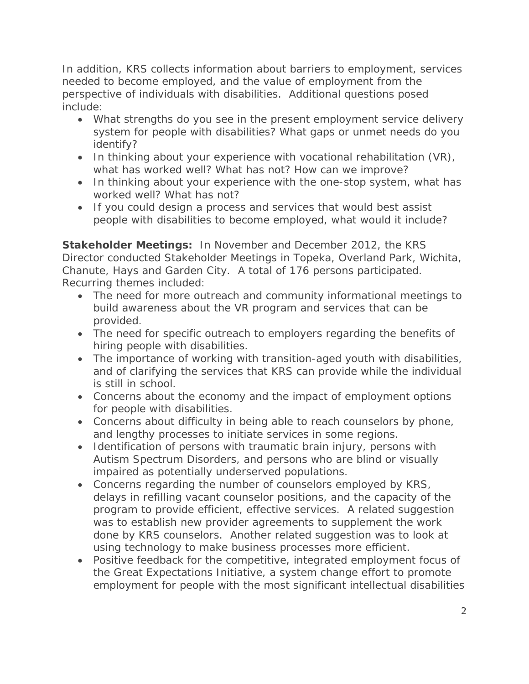In addition, KRS collects information about barriers to employment, services needed to become employed, and the value of employment from the perspective of individuals with disabilities. Additional questions posed include:

- What strengths do you see in the present employment service delivery system for people with disabilities? What gaps or unmet needs do you identify?
- In thinking about your experience with vocational rehabilitation (VR), what has worked well? What has not? How can we improve?
- In thinking about your experience with the one-stop system, what has worked well? What has not?
- If you could design a process and services that would best assist people with disabilities to become employed, what would it include?

**Stakeholder Meetings:** In November and December 2012, the KRS Director conducted Stakeholder Meetings in Topeka, Overland Park, Wichita, Chanute, Hays and Garden City. A total of 176 persons participated. Recurring themes included:

- The need for more outreach and community informational meetings to build awareness about the VR program and services that can be provided.
- The need for specific outreach to employers regarding the benefits of hiring people with disabilities.
- The importance of working with transition-aged youth with disabilities, and of clarifying the services that KRS can provide while the individual is still in school.
- Concerns about the economy and the impact of employment options for people with disabilities.
- Concerns about difficulty in being able to reach counselors by phone, and lengthy processes to initiate services in some regions.
- Identification of persons with traumatic brain injury, persons with Autism Spectrum Disorders, and persons who are blind or visually impaired as potentially underserved populations.
- Concerns regarding the number of counselors employed by KRS, delays in refilling vacant counselor positions, and the capacity of the program to provide efficient, effective services. A related suggestion was to establish new provider agreements to supplement the work done by KRS counselors. Another related suggestion was to look at using technology to make business processes more efficient.
- Positive feedback for the competitive, integrated employment focus of the Great Expectations Initiative, a system change effort to promote employment for people with the most significant intellectual disabilities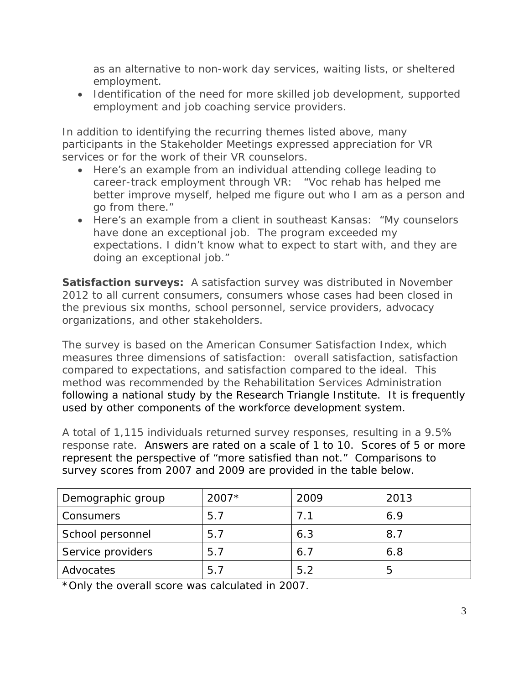as an alternative to non-work day services, waiting lists, or sheltered employment.

• Identification of the need for more skilled job development, supported employment and job coaching service providers.

In addition to identifying the recurring themes listed above, many participants in the Stakeholder Meetings expressed appreciation for VR services or for the work of their VR counselors.

- Here's an example from an individual attending college leading to career-track employment through VR: *"Voc rehab has helped me better improve myself, helped me figure out who I am as a person and go from there."*
- Here's an example from a client in southeast Kansas: *"My counselors have done an exceptional job. The program exceeded my expectations. I didn't know what to expect to start with, and they are doing an exceptional job."*

**Satisfaction surveys:** A satisfaction survey was distributed in November 2012 to all current consumers, consumers whose cases had been closed in the previous six months, school personnel, service providers, advocacy organizations, and other stakeholders.

The survey is based on the American Consumer Satisfaction Index, which measures three dimensions of satisfaction: overall satisfaction, satisfaction compared to expectations, and satisfaction compared to the ideal. This method was recommended by the Rehabilitation Services Administration following a national study by the Research Triangle Institute. It is frequently used by other components of the workforce development system.

A total of 1,115 individuals returned survey responses, resulting in a 9.5% response rate. Answers are rated on a scale of 1 to 10. Scores of 5 or more represent the perspective of "more satisfied than not." Comparisons to survey scores from 2007 and 2009 are provided in the table below.

| Demographic group | $2007*$ | 2009 | 2013 |
|-------------------|---------|------|------|
| Consumers         | 5.7     | 7.1  | 6.9  |
| School personnel  | 5.7     | 6.3  | 8.7  |
| Service providers | 5.7     | 6.7  | 6.8  |
| Advocates         | 5.7     | 5.2  | 5    |

\*Only the overall score was calculated in 2007.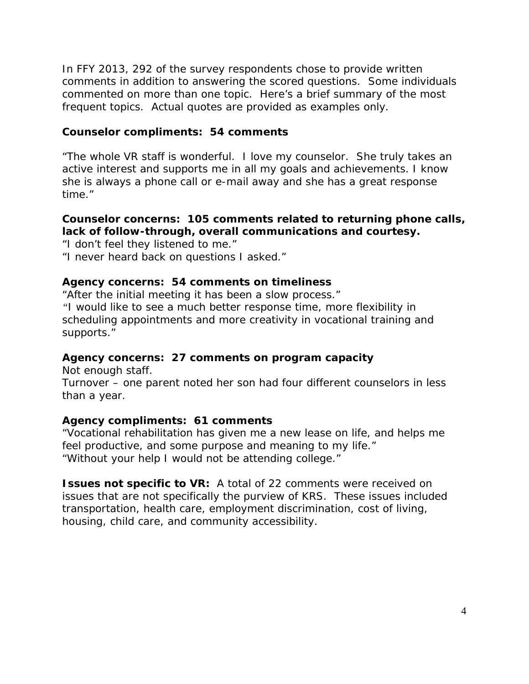In FFY 2013, 292 of the survey respondents chose to provide written comments in addition to answering the scored questions. Some individuals commented on more than one topic. Here's a brief summary of the most frequent topics. Actual quotes are provided as examples only.

### **Counselor compliments: 54 comments**

*"The whole VR staff is wonderful. I love my counselor. She truly takes an active interest and supports me in all my goals and achievements. I know she is always a phone call or e-mail away and she has a great response time."*

#### **Counselor concerns: 105 comments related to returning phone calls, lack of follow-through, overall communications and courtesy.**

*"I don't feel they listened to me." "I never heard back on questions I asked."*

#### **Agency concerns: 54 comments on timeliness**

*"After the initial meeting it has been a slow process." "I would like to see a much better response time, more flexibility in scheduling appointments and more creativity in vocational training and supports."*

#### **Agency concerns: 27 comments on program capacity**

*Not enough staff. Turnover – one parent noted her son had four different counselors in less than a year.*

#### **Agency compliments: 61 comments**

*"Vocational rehabilitation has given me a new lease on life, and helps me feel productive, and some purpose and meaning to my life." "Without your help I would not be attending college."*

**Issues not specific to VR:** A total of 22 comments were received on issues that are not specifically the purview of KRS. These issues included transportation, health care, employment discrimination, cost of living, housing, child care, and community accessibility.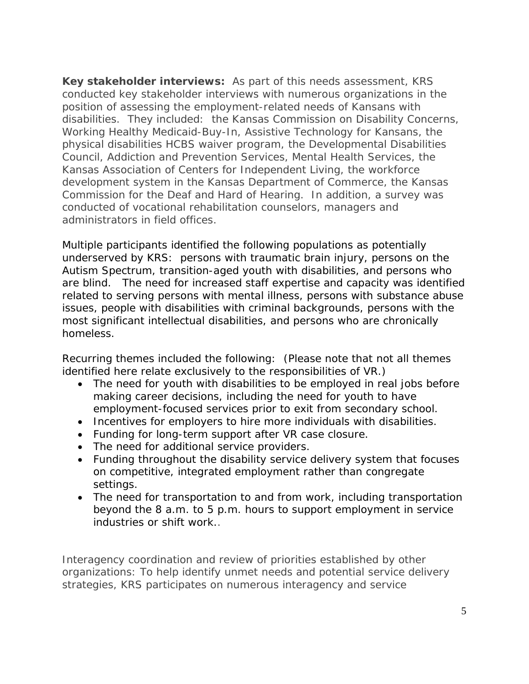Key stakeholder interviews: As part of this needs assessment, KRS conducted key stakeholder interviews with numerous organizations in the position of assessing the employment-related needs of Kansans with disabilities. They included: the Kansas Commission on Disability Concerns, Working Healthy Medicaid-Buy-In, Assistive Technology for Kansans, the physical disabilities HCBS waiver program, the Developmental Disabilities Council, Addiction and Prevention Services, Mental Health Services, the Kansas Association of Centers for Independent Living, the workforce development system in the Kansas Department of Commerce, the Kansas Commission for the Deaf and Hard of Hearing. In addition, a survey was conducted of vocational rehabilitation counselors, managers and administrators in field offices.

Multiple participants identified the following populations as potentially underserved by KRS: persons with traumatic brain injury, persons on the Autism Spectrum, transition-aged youth with disabilities, and persons who are blind. The need for increased staff expertise and capacity was identified related to serving persons with mental illness, persons with substance abuse issues, people with disabilities with criminal backgrounds, persons with the most significant intellectual disabilities, and persons who are chronically homeless.

Recurring themes included the following: *(Please note that not all themes identified here relate exclusively to the responsibilities of VR.)*

- The need for youth with disabilities to be employed in real jobs before making career decisions, including the need for youth to have employment-focused services prior to exit from secondary school.
- Incentives for employers to hire more individuals with disabilities.
- Funding for long-term support after VR case closure.
- The need for additional service providers.
- Funding throughout the disability service delivery system that focuses on competitive, integrated employment rather than congregate settings.
- The need for transportation to and from work, including transportation beyond the 8 a.m. to 5 p.m. hours to support employment in service industries or shift work..

*Interagency coordination and review of priorities established by other organizations:* To help identify unmet needs and potential service delivery strategies, KRS participates on numerous interagency and service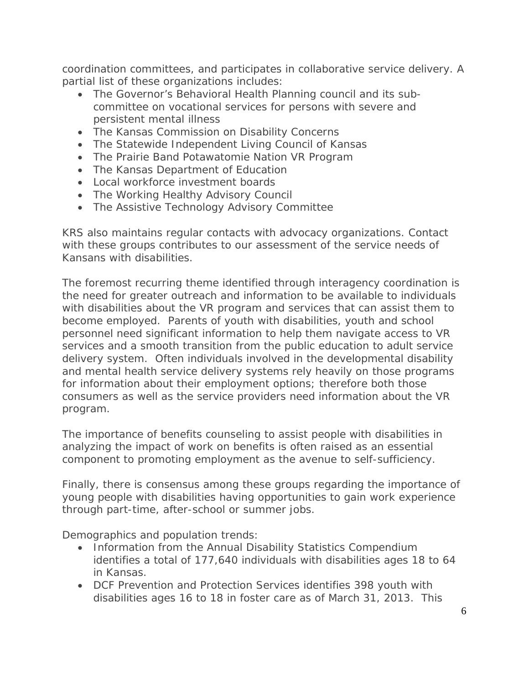coordination committees, and participates in collaborative service delivery. A partial list of these organizations includes:

- The Governor's Behavioral Health Planning council and its subcommittee on vocational services for persons with severe and persistent mental illness
- The Kansas Commission on Disability Concerns
- The Statewide Independent Living Council of Kansas
- The Prairie Band Potawatomie Nation VR Program
- The Kansas Department of Education
- Local workforce investment boards
- The Working Healthy Advisory Council
- The Assistive Technology Advisory Committee

KRS also maintains regular contacts with advocacy organizations. Contact with these groups contributes to our assessment of the service needs of Kansans with disabilities.

The foremost recurring theme identified through interagency coordination is the need for greater outreach and information to be available to individuals with disabilities about the VR program and services that can assist them to become employed. Parents of youth with disabilities, youth and school personnel need significant information to help them navigate access to VR services and a smooth transition from the public education to adult service delivery system. Often individuals involved in the developmental disability and mental health service delivery systems rely heavily on those programs for information about their employment options; therefore both those consumers as well as the service providers need information about the VR program.

The importance of benefits counseling to assist people with disabilities in analyzing the impact of work on benefits is often raised as an essential component to promoting employment as the avenue to self-sufficiency.

Finally, there is consensus among these groups regarding the importance of young people with disabilities having opportunities to gain work experience through part-time, after-school or summer jobs.

*Demographics and population trends*:

- Information from the Annual Disability Statistics Compendium identifies a total of 177,640 individuals with disabilities ages 18 to 64 in Kansas.
- DCF Prevention and Protection Services identifies 398 youth with disabilities ages 16 to 18 in foster care as of March 31, 2013. This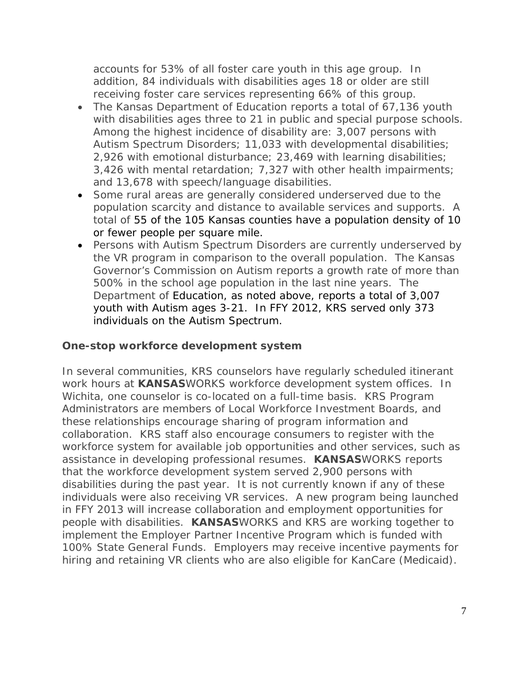accounts for 53% of all foster care youth in this age group. In addition, 84 individuals with disabilities ages 18 or older are still receiving foster care services representing 66% of this group.

- The Kansas Department of Education reports a total of 67,136 youth with disabilities ages three to 21 in public and special purpose schools. Among the highest incidence of disability are: 3,007 persons with Autism Spectrum Disorders; 11,033 with developmental disabilities; 2,926 with emotional disturbance; 23,469 with learning disabilities; 3,426 with mental retardation; 7,327 with other health impairments; and 13,678 with speech/language disabilities.
- Some rural areas are generally considered underserved due to the population scarcity and distance to available services and supports. A total of 55 of the 105 Kansas counties have a population density of 10 or fewer people per square mile.
- Persons with Autism Spectrum Disorders are currently underserved by the VR program in comparison to the overall population. The Kansas Governor's Commission on Autism reports a growth rate of more than 500% in the school age population in the last nine years. The Department of Education, as noted above, reports a total of 3,007 youth with Autism ages 3-21. In FFY 2012, KRS served only 373 individuals on the Autism Spectrum.

## **One-stop workforce development system**

In several communities, KRS counselors have regularly scheduled itinerant work hours at **KANSAS**WORKS workforce development system offices. In Wichita, one counselor is co-located on a full-time basis. KRS Program Administrators are members of Local Workforce Investment Boards, and these relationships encourage sharing of program information and collaboration. KRS staff also encourage consumers to register with the workforce system for available job opportunities and other services, such as assistance in developing professional resumes. **KANSAS**WORKS reports that the workforce development system served 2,900 persons with disabilities during the past year. It is not currently known if any of these individuals were also receiving VR services. A new program being launched in FFY 2013 will increase collaboration and employment opportunities for people with disabilities. **KANSAS**WORKS and KRS are working together to implement the Employer Partner Incentive Program which is funded with 100% State General Funds. Employers may receive incentive payments for hiring and retaining VR clients who are also eligible for KanCare (Medicaid).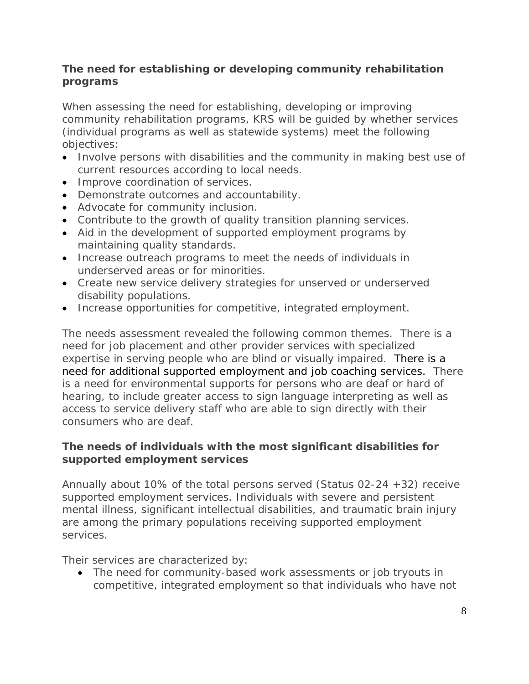## **The need for establishing or developing community rehabilitation programs**

When assessing the need for establishing, developing or improving community rehabilitation programs, KRS will be guided by whether services (individual programs as well as statewide systems) meet the following objectives:

- Involve persons with disabilities and the community in making best use of current resources according to local needs.
- Improve coordination of services.
- Demonstrate outcomes and accountability.
- Advocate for community inclusion.
- Contribute to the growth of quality transition planning services.
- Aid in the development of supported employment programs by maintaining quality standards.
- Increase outreach programs to meet the needs of individuals in underserved areas or for minorities.
- Create new service delivery strategies for unserved or underserved disability populations.
- Increase opportunities for competitive, integrated employment.

The needs assessment revealed the following common themes. There is a need for job placement and other provider services with specialized expertise in serving people who are blind or visually impaired. There is a need for additional supported employment and job coaching services. There is a need for environmental supports for persons who are deaf or hard of hearing, to include greater access to sign language interpreting as well as access to service delivery staff who are able to sign directly with their consumers who are deaf.

## **The needs of individuals with the most significant disabilities for supported employment services**

Annually about 10% of the total persons served (Status 02-24 +32) receive supported employment services. Individuals with severe and persistent mental illness, significant intellectual disabilities, and traumatic brain injury are among the primary populations receiving supported employment services.

Their services are characterized by:

• The need for community-based work assessments or job tryouts in competitive, integrated employment so that individuals who have not